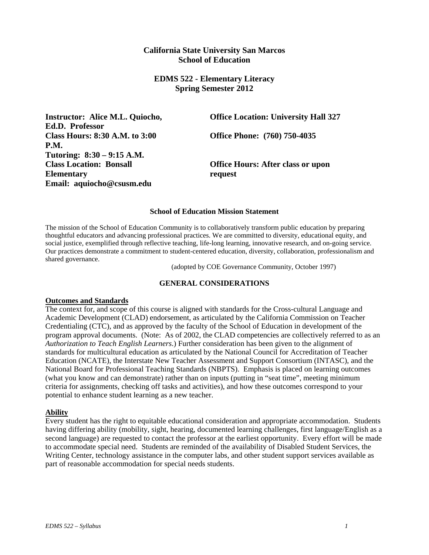# **California State University San Marcos School of Education**

# **EDMS 522 - Elementary Literacy Spring Semester 2012**

**Ed.D. Professor Class Hours: 8:30 A.M. to 3:00 Office Phone: (760) 750-4035 P.M. Tutoring: 8:30 – 9:15 A.M. Elementary request Email: aquiocho@csusm.edu** 

**Instructor: Alice M.L. Quiocho, Construction: University Hall 327** 

**Class Location: Bonsall Office Hours: After class or upon** 

#### **School of Education Mission Statement**

The mission of the School of Education Community is to collaboratively transform public education by preparing thoughtful educators and advancing professional practices. We are committed to diversity, educational equity, and social justice, exemplified through reflective teaching, life-long learning, innovative research, and on-going service. Our practices demonstrate a commitment to student-centered education, diversity, collaboration, professionalism and shared governance.

(adopted by COE Governance Community, October 1997)

## **GENERAL CONSIDERATIONS**

### **Outcomes and Standards**

The context for, and scope of this course is aligned with standards for the Cross-cultural Language and Academic Development (CLAD) endorsement, as articulated by the California Commission on Teacher Credentialing (CTC), and as approved by the faculty of the School of Education in development of the program approval documents. (Note: As of 2002, the CLAD competencies are collectively referred to as an *Authorization to Teach English Learners*.) Further consideration has been given to the alignment of standards for multicultural education as articulated by the National Council for Accreditation of Teacher Education (NCATE), the Interstate New Teacher Assessment and Support Consortium (INTASC), and the National Board for Professional Teaching Standards (NBPTS). Emphasis is placed on learning outcomes (what you know and can demonstrate) rather than on inputs (putting in "seat time", meeting minimum criteria for assignments, checking off tasks and activities), and how these outcomes correspond to your potential to enhance student learning as a new teacher.

### **Ability**

Every student has the right to equitable educational consideration and appropriate accommodation. Students having differing ability (mobility, sight, hearing, documented learning challenges, first language/English as a second language) are requested to contact the professor at the earliest opportunity. Every effort will be made to accommodate special need. Students are reminded of the availability of Disabled Student Services, the Writing Center, technology assistance in the computer labs, and other student support services available as part of reasonable accommodation for special needs students.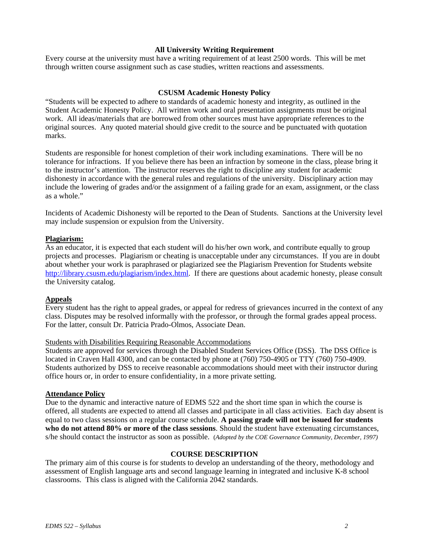## **All University Writing Requirement**

Every course at the university must have a writing requirement of at least 2500 words. This will be met through written course assignment such as case studies, written reactions and assessments.

### **CSUSM Academic Honesty Policy**

"Students will be expected to adhere to standards of academic honesty and integrity, as outlined in the Student Academic Honesty Policy. All written work and oral presentation assignments must be original work. All ideas/materials that are borrowed from other sources must have appropriate references to the original sources. Any quoted material should give credit to the source and be punctuated with quotation marks.

Students are responsible for honest completion of their work including examinations. There will be no tolerance for infractions. If you believe there has been an infraction by someone in the class, please bring it to the instructor's attention. The instructor reserves the right to discipline any student for academic dishonesty in accordance with the general rules and regulations of the university. Disciplinary action may include the lowering of grades and/or the assignment of a failing grade for an exam, assignment, or the class as a whole."

Incidents of Academic Dishonesty will be reported to the Dean of Students. Sanctions at the University level may include suspension or expulsion from the University.

### **Plagiarism:**

As an educator, it is expected that each student will do his/her own work, and contribute equally to group projects and processes. Plagiarism or cheating is unacceptable under any circumstances. If you are in doubt about whether your work is paraphrased or plagiarized see the Plagiarism Prevention for Students website http://library.csusm.edu/plagiarism/index.html. If there are questions about academic honesty, please consult the University catalog.

### **Appeals**

Every student has the right to appeal grades, or appeal for redress of grievances incurred in the context of any class. Disputes may be resolved informally with the professor, or through the formal grades appeal process. For the latter, consult Dr. Patricia Prado-Olmos, Associate Dean.

### Students with Disabilities Requiring Reasonable Accommodations

Students are approved for services through the Disabled Student Services Office (DSS). The DSS Office is located in Craven Hall 4300, and can be contacted by phone at (760) 750-4905 or TTY (760) 750-4909. Students authorized by DSS to receive reasonable accommodations should meet with their instructor during office hours or, in order to ensure confidentiality, in a more private setting.

### **Attendance Policy**

Due to the dynamic and interactive nature of EDMS 522 and the short time span in which the course is offered, all students are expected to attend all classes and participate in all class activities. Each day absent is equal to two class sessions on a regular course schedule. **A passing grade will not be issued for students who do not attend 80% or more of the class sessions**. Should the student have extenuating circumstances, s/he should contact the instructor as soon as possible. (*Adopted by the COE Governance Community, December, 1997)* 

### **COURSE DESCRIPTION**

The primary aim of this course is for students to develop an understanding of the theory, methodology and assessment of English language arts and second language learning in integrated and inclusive K-8 school classrooms. This class is aligned with the California 2042 standards.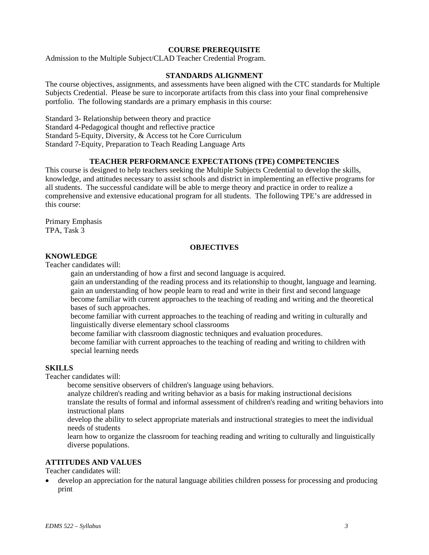# **COURSE PREREQUISITE**

Admission to the Multiple Subject/CLAD Teacher Credential Program.

### **STANDARDS ALIGNMENT**

The course objectives, assignments, and assessments have been aligned with the CTC standards for Multiple Subjects Credential. Please be sure to incorporate artifacts from this class into your final comprehensive portfolio. The following standards are a primary emphasis in this course:

Standard 3- Relationship between theory and practice Standard 4-Pedagogical thought and reflective practice Standard 5-Equity, Diversity, & Access tot he Core Curriculum Standard 7-Equity, Preparation to Teach Reading Language Arts

# **TEACHER PERFORMANCE EXPECTATIONS (TPE) COMPETENCIES**

This course is designed to help teachers seeking the Multiple Subjects Credential to develop the skills, knowledge, and attitudes necessary to assist schools and district in implementing an effective programs for all students. The successful candidate will be able to merge theory and practice in order to realize a comprehensive and extensive educational program for all students. The following TPE's are addressed in this course:

Primary Emphasis TPA, Task 3

### **OBJECTIVES**

# **KNOWLEDGE**

Teacher candidates will:

gain an understanding of how a first and second language is acquired.

gain an understanding of the reading process and its relationship to thought, language and learning. gain an understanding of how people learn to read and write in their first and second language become familiar with current approaches to the teaching of reading and writing and the theoretical bases of such approaches.

become familiar with current approaches to the teaching of reading and writing in culturally and linguistically diverse elementary school classrooms

become familiar with classroom diagnostic techniques and evaluation procedures.

become familiar with current approaches to the teaching of reading and writing to children with special learning needs

### **SKILLS**

Teacher candidates will:

become sensitive observers of children's language using behaviors.

analyze children's reading and writing behavior as a basis for making instructional decisions translate the results of formal and informal assessment of children's reading and writing behaviors into instructional plans

develop the ability to select appropriate materials and instructional strategies to meet the individual needs of students

learn how to organize the classroom for teaching reading and writing to culturally and linguistically diverse populations.

### **ATTITUDES AND VALUES**

Teacher candidates will:

 develop an appreciation for the natural language abilities children possess for processing and producing print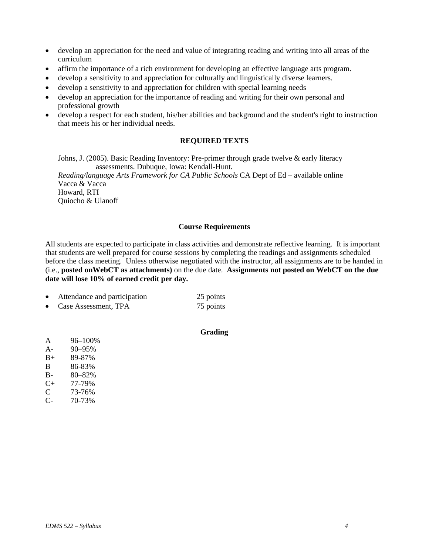- develop an appreciation for the need and value of integrating reading and writing into all areas of the curriculum
- affirm the importance of a rich environment for developing an effective language arts program.
- develop a sensitivity to and appreciation for culturally and linguistically diverse learners.
- develop a sensitivity to and appreciation for children with special learning needs
- develop an appreciation for the importance of reading and writing for their own personal and professional growth
- develop a respect for each student, his/her abilities and background and the student's right to instruction that meets his or her individual needs.

# **REQUIRED TEXTS**

Johns, J. (2005). Basic Reading Inventory: Pre-primer through grade twelve & early literacy assessments. Dubuque, Iowa: Kendall-Hunt.

*Reading/language Arts Framework for CA Public Schools* CA Dept of Ed – available online Vacca & Vacca Howard, RTI Quiocho & Ulanoff

### **Course Requirements**

 **date will lose 10% of earned credit per day.** All students are expected to participate in class activities and demonstrate reflective learning. It is important that students are well prepared for course sessions by completing the readings and assignments scheduled before the class meeting. Unless otherwise negotiated with the instructor, all assignments are to be handed in (i.e., **posted onWebCT as attachments)** on the due date. **Assignments not posted on WebCT on the due** 

|           | Attendance and participation | 25 points |
|-----------|------------------------------|-----------|
| $\bullet$ | Case Assessment, TPA         | 75 points |

## **Grading**

| A  | 96-100% |
|----|---------|
| A- | 90-95%  |
| B+ | 89-87%  |
| В  | 86-83%  |
| В- | 80-82%  |
| C+ | 77-79%  |
| C  | 73-76%  |
| C- | 70-73%  |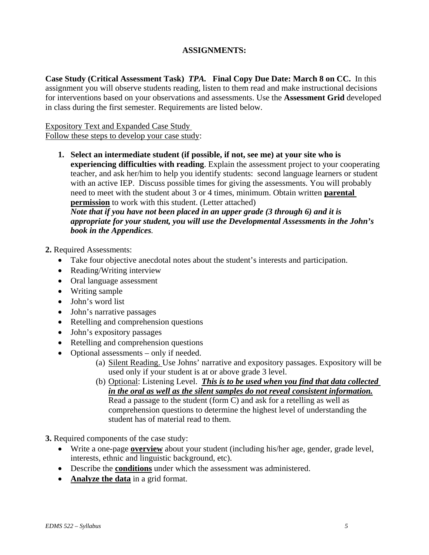# **ASSIGNMENTS:**

**Case Study (Critical Assessment Task)** *TPA.* **Final Copy Due Date: March 8 on CC.** In this assignment you will observe students reading, listen to them read and make instructional decisions for interventions based on your observations and assessments. Use the **Assessment Grid** developed in class during the first semester. Requirements are listed below.

# Expository Text and Expanded Case Study Follow these steps to develop your case study:

with an active IEP. Discuss possible times for giving the assessments. You will probably **1. Select an intermediate student (if possible, if not, see me) at your site who is experiencing difficulties with reading**. Explain the assessment project to your cooperating teacher, and ask her/him to help you identify students: second language learners or student need to meet with the student about 3 or 4 times, minimum. Obtain written **parental permission** to work with this student. (Letter attached)

*Note that if you have not been placed in an upper grade (3 through 6) and it is appropriate for your student, you will use the Developmental Assessments in the John's book in the Appendices.* 

# **2.** Required Assessments:

- Take four objective anecdotal notes about the student's interests and participation.
- Reading/Writing interview
- Oral language assessment
- Writing sample
- John's word list
- John's narrative passages
- Retelling and comprehension questions
- John's expository passages
- Retelling and comprehension questions
- Optional assessments only if needed.
	- (a) Silent Reading. Use Johns' narrative and expository passages. Expository will be used only if your student is at or above grade 3 level.
	- *in the oral as well as the silent samples do not reveal consistent information.* (b) Optional: Listening Level. *This is to be used when you find that data collected*  Read a passage to the student (form C) and ask for a retelling as well as comprehension questions to determine the highest level of understanding the student has of material read to them.

**3.** Required components of the case study:

- Write a one-page **overview** about your student (including his/her age, gender, grade level, interests, ethnic and linguistic background, etc).
- Describe the **conditions** under which the assessment was administered.
- **Analyze the data** in a grid format.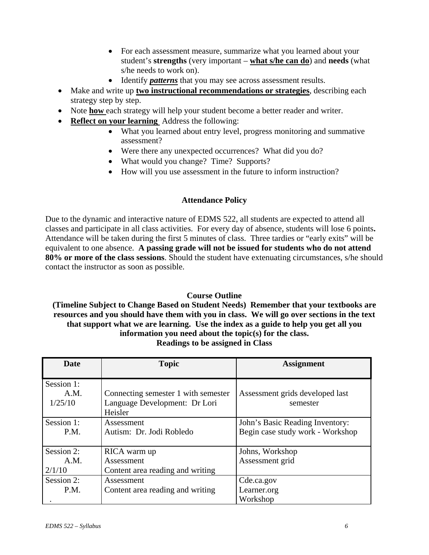- For each assessment measure, summarize what you learned about your student's **strengths** (very important – **what s/he can do**) and **needs** (what s/he needs to work on).
- Identify *patterns* that you may see across assessment results.
- Make and write up **two instructional recommendations or strategies**, describing each strategy step by step.
- Note **how** each strategy will help your student become a better reader and writer.
- **Reflect on your learning** Address the following:
	- What you learned about entry level, progress monitoring and summative assessment?
	- Were there any unexpected occurrences? What did you do?
	- What would you change? Time? Supports?
	- How will you use assessment in the future to inform instruction?

# **Attendance Policy**

Due to the dynamic and interactive nature of EDMS 522, all students are expected to attend all classes and participate in all class activities. For every day of absence, students will lose 6 points**.**  Attendance will be taken during the first 5 minutes of class. Three tardies or "early exits" will be equivalent to one absence. **A passing grade will not be issued for students who do not attend 80% or more of the class sessions**. Should the student have extenuating circumstances, s/he should contact the instructor as soon as possible.

# **Course Outline**

**(Timeline Subject to Change Based on Student Needs) Remember that your textbooks are resources and you should have them with you in class. We will go over sections in the text that support what we are learning. Use the index as a guide to help you get all you information you need about the topic(s) for the class. Readings to be assigned in Class** 

| <b>Date</b> | <b>Topic</b>                             | <b>Assignment</b>                |
|-------------|------------------------------------------|----------------------------------|
| Session 1:  |                                          |                                  |
| A.M.        | Connecting semester 1 with semester      | Assessment grids developed last  |
| 1/25/10     | Language Development: Dr Lori<br>Heisler | semester                         |
| Session 1:  | Assessment                               | John's Basic Reading Inventory:  |
| P.M.        | Autism: Dr. Jodi Robledo                 | Begin case study work - Workshop |
| Session 2:  | RICA warm up                             | Johns, Workshop                  |
| A.M.        | Assessment                               | Assessment grid                  |
| 2/1/10      | Content area reading and writing         |                                  |
| Session 2:  | Assessment                               | Cde.ca.gov                       |
| P.M.        | Content area reading and writing         | Learner.org                      |
|             |                                          | Workshop                         |